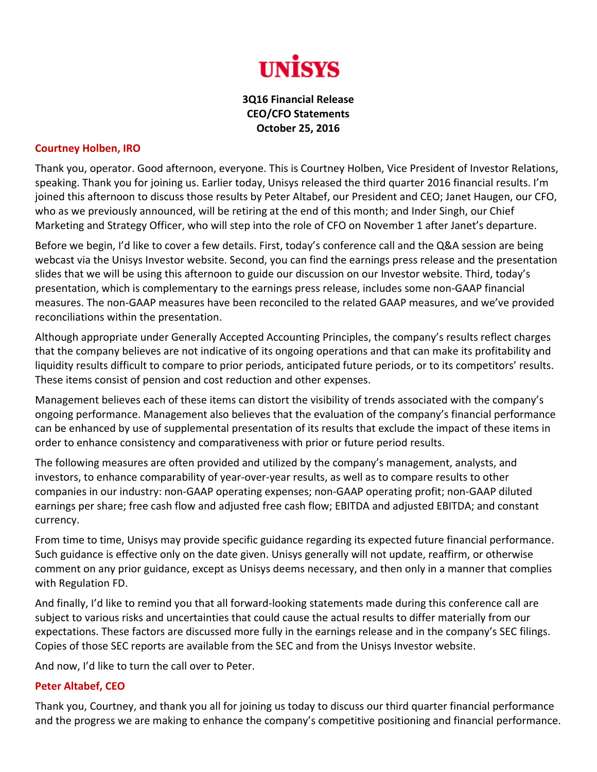

## **3Q16 Financial Release CEO/CFO Statements October 25, 2016**

## **Courtney Holben, IRO**

Thank you, operator. Good afternoon, everyone. This is Courtney Holben, Vice President of Investor Relations, speaking. Thank you for joining us. Earlier today, Unisys released the third quarter 2016 financial results. I'm joined this afternoon to discuss those results by Peter Altabef, our President and CEO; Janet Haugen, our CFO, who as we previously announced, will be retiring at the end of this month; and Inder Singh, our Chief Marketing and Strategy Officer, who will step into the role of CFO on November 1 after Janet's departure.

Before we begin, I'd like to cover a few details. First, today's conference call and the Q&A session are being webcast via the Unisys Investor website. Second, you can find the earnings press release and the presentation slides that we will be using this afternoon to guide our discussion on our Investor website. Third, today's presentation, which is complementary to the earnings press release, includes some non‐GAAP financial measures. The non‐GAAP measures have been reconciled to the related GAAP measures, and we've provided reconciliations within the presentation.

Although appropriate under Generally Accepted Accounting Principles, the company's results reflect charges that the company believes are not indicative of its ongoing operations and that can make its profitability and liquidity results difficult to compare to prior periods, anticipated future periods, or to its competitors' results. These items consist of pension and cost reduction and other expenses.

Management believes each of these items can distort the visibility of trends associated with the company's ongoing performance. Management also believes that the evaluation of the company's financial performance can be enhanced by use of supplemental presentation of its results that exclude the impact of these items in order to enhance consistency and comparativeness with prior or future period results.

The following measures are often provided and utilized by the company's management, analysts, and investors, to enhance comparability of year‐over‐year results, as well as to compare results to other companies in our industry: non‐GAAP operating expenses; non‐GAAP operating profit; non‐GAAP diluted earnings per share; free cash flow and adjusted free cash flow; EBITDA and adjusted EBITDA; and constant currency.

From time to time, Unisys may provide specific guidance regarding its expected future financial performance. Such guidance is effective only on the date given. Unisys generally will not update, reaffirm, or otherwise comment on any prior guidance, except as Unisys deems necessary, and then only in a manner that complies with Regulation FD.

And finally, I'd like to remind you that all forward-looking statements made during this conference call are subject to various risks and uncertainties that could cause the actual results to differ materially from our expectations. These factors are discussed more fully in the earnings release and in the company's SEC filings. Copies of those SEC reports are available from the SEC and from the Unisys Investor website.

And now, I'd like to turn the call over to Peter.

## **Peter Altabef, CEO**

Thank you, Courtney, and thank you all for joining us today to discuss our third quarter financial performance and the progress we are making to enhance the company's competitive positioning and financial performance.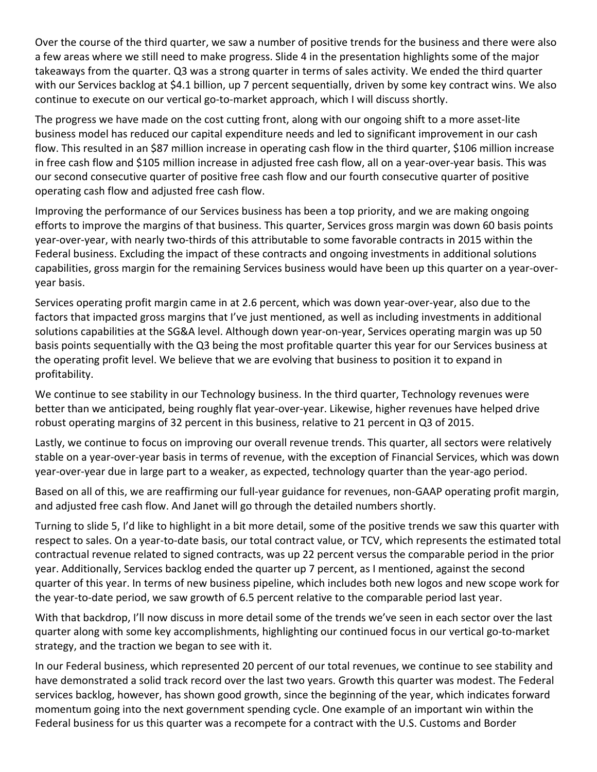Over the course of the third quarter, we saw a number of positive trends for the business and there were also a few areas where we still need to make progress. Slide 4 in the presentation highlights some of the major takeaways from the quarter. Q3 was a strong quarter in terms of sales activity. We ended the third quarter with our Services backlog at \$4.1 billion, up 7 percent sequentially, driven by some key contract wins. We also continue to execute on our vertical go-to-market approach, which I will discuss shortly.

The progress we have made on the cost cutting front, along with our ongoing shift to a more asset-lite business model has reduced our capital expenditure needs and led to significant improvement in our cash flow. This resulted in an \$87 million increase in operating cash flow in the third quarter, \$106 million increase in free cash flow and \$105 million increase in adjusted free cash flow, all on a year‐over‐year basis. This was our second consecutive quarter of positive free cash flow and our fourth consecutive quarter of positive operating cash flow and adjusted free cash flow.

Improving the performance of our Services business has been a top priority, and we are making ongoing efforts to improve the margins of that business. This quarter, Services gross margin was down 60 basis points year‐over‐year, with nearly two‐thirds of this attributable to some favorable contracts in 2015 within the Federal business. Excluding the impact of these contracts and ongoing investments in additional solutions capabilities, gross margin for the remaining Services business would have been up this quarter on a year‐over‐ year basis.

Services operating profit margin came in at 2.6 percent, which was down year‐over‐year, also due to the factors that impacted gross margins that I've just mentioned, as well as including investments in additional solutions capabilities at the SG&A level. Although down year-on-year, Services operating margin was up 50 basis points sequentially with the Q3 being the most profitable quarter this year for our Services business at the operating profit level. We believe that we are evolving that business to position it to expand in profitability.

We continue to see stability in our Technology business. In the third quarter, Technology revenues were better than we anticipated, being roughly flat year‐over‐year. Likewise, higher revenues have helped drive robust operating margins of 32 percent in this business, relative to 21 percent in Q3 of 2015.

Lastly, we continue to focus on improving our overall revenue trends. This quarter, all sectors were relatively stable on a year‐over‐year basis in terms of revenue, with the exception of Financial Services, which was down year‐over‐year due in large part to a weaker, as expected, technology quarter than the year‐ago period.

Based on all of this, we are reaffirming our full‐year guidance for revenues, non‐GAAP operating profit margin, and adjusted free cash flow. And Janet will go through the detailed numbers shortly.

Turning to slide 5, I'd like to highlight in a bit more detail, some of the positive trends we saw this quarter with respect to sales. On a year‐to‐date basis, our total contract value, or TCV, which represents the estimated total contractual revenue related to signed contracts, was up 22 percent versus the comparable period in the prior year. Additionally, Services backlog ended the quarter up 7 percent, as I mentioned, against the second quarter of this year. In terms of new business pipeline, which includes both new logos and new scope work for the year‐to‐date period, we saw growth of 6.5 percent relative to the comparable period last year.

With that backdrop, I'll now discuss in more detail some of the trends we've seen in each sector over the last quarter along with some key accomplishments, highlighting our continued focus in our vertical go‐to‐market strategy, and the traction we began to see with it.

In our Federal business, which represented 20 percent of our total revenues, we continue to see stability and have demonstrated a solid track record over the last two years. Growth this quarter was modest. The Federal services backlog, however, has shown good growth, since the beginning of the year, which indicates forward momentum going into the next government spending cycle. One example of an important win within the Federal business for us this quarter was a recompete for a contract with the U.S. Customs and Border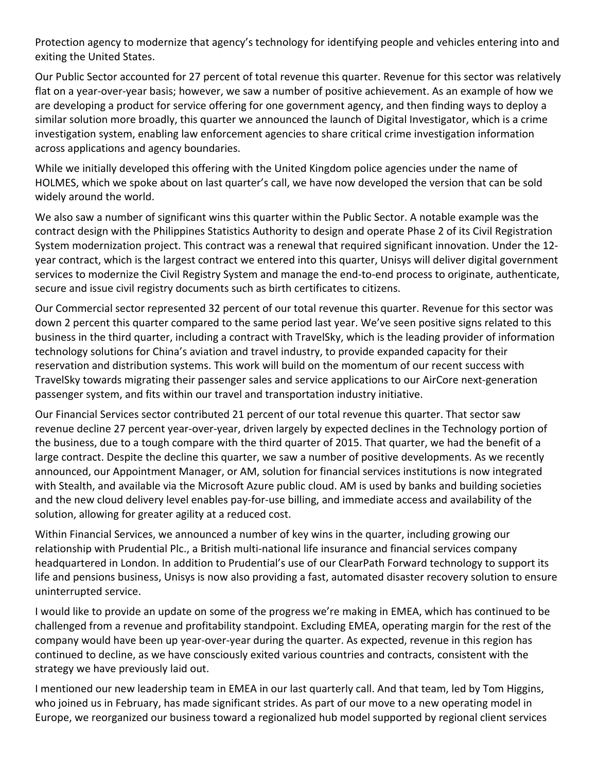Protection agency to modernize that agency's technology for identifying people and vehicles entering into and exiting the United States.

Our Public Sector accounted for 27 percent of total revenue this quarter. Revenue for this sector was relatively flat on a year-over-year basis; however, we saw a number of positive achievement. As an example of how we are developing a product for service offering for one government agency, and then finding ways to deploy a similar solution more broadly, this quarter we announced the launch of Digital Investigator, which is a crime investigation system, enabling law enforcement agencies to share critical crime investigation information across applications and agency boundaries.

While we initially developed this offering with the United Kingdom police agencies under the name of HOLMES, which we spoke about on last quarter's call, we have now developed the version that can be sold widely around the world.

We also saw a number of significant wins this quarter within the Public Sector. A notable example was the contract design with the Philippines Statistics Authority to design and operate Phase 2 of its Civil Registration System modernization project. This contract was a renewal that required significant innovation. Under the 12‐ year contract, which is the largest contract we entered into this quarter, Unisys will deliver digital government services to modernize the Civil Registry System and manage the end-to-end process to originate, authenticate, secure and issue civil registry documents such as birth certificates to citizens.

Our Commercial sector represented 32 percent of our total revenue this quarter. Revenue for this sector was down 2 percent this quarter compared to the same period last year. We've seen positive signs related to this business in the third quarter, including a contract with TravelSky, which is the leading provider of information technology solutions for China's aviation and travel industry, to provide expanded capacity for their reservation and distribution systems. This work will build on the momentum of our recent success with TravelSky towards migrating their passenger sales and service applications to our AirCore next‐generation passenger system, and fits within our travel and transportation industry initiative.

Our Financial Services sector contributed 21 percent of our total revenue this quarter. That sector saw revenue decline 27 percent year‐over‐year, driven largely by expected declines in the Technology portion of the business, due to a tough compare with the third quarter of 2015. That quarter, we had the benefit of a large contract. Despite the decline this quarter, we saw a number of positive developments. As we recently announced, our Appointment Manager, or AM, solution for financial services institutions is now integrated with Stealth, and available via the Microsoft Azure public cloud. AM is used by banks and building societies and the new cloud delivery level enables pay-for-use billing, and immediate access and availability of the solution, allowing for greater agility at a reduced cost.

Within Financial Services, we announced a number of key wins in the quarter, including growing our relationship with Prudential Plc., a British multi‐national life insurance and financial services company headquartered in London. In addition to Prudential's use of our ClearPath Forward technology to support its life and pensions business, Unisys is now also providing a fast, automated disaster recovery solution to ensure uninterrupted service.

I would like to provide an update on some of the progress we're making in EMEA, which has continued to be challenged from a revenue and profitability standpoint. Excluding EMEA, operating margin for the rest of the company would have been up year‐over‐year during the quarter. As expected, revenue in this region has continued to decline, as we have consciously exited various countries and contracts, consistent with the strategy we have previously laid out.

I mentioned our new leadership team in EMEA in our last quarterly call. And that team, led by Tom Higgins, who joined us in February, has made significant strides. As part of our move to a new operating model in Europe, we reorganized our business toward a regionalized hub model supported by regional client services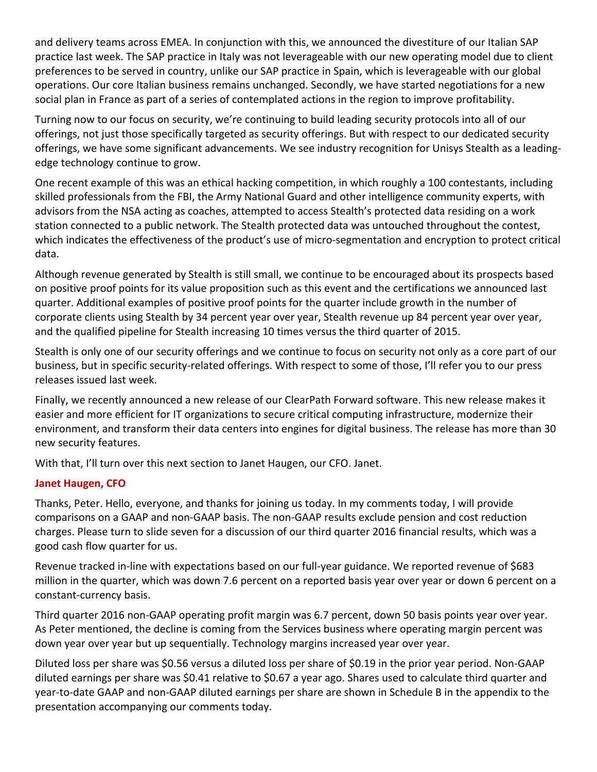and delivery teams across EMEA. In conjunction with this, we announced the divestiture of our Italian SAP practice last week. The SAP practice in Italy was not leverageable with our new operating model due to client preferences to be served in country, unlike our SAP practice in Spain, which is leverageable with our global operations. Our core Italian business remains unchanged. Secondly, we have started negotiations for a new social plan in France as part of a series of contemplated actions in the region to improve profitability.

Turning now to our focus on security, we're continuing to build leading security protocols into all of our offerings, not just those specifically targeted as security offerings. But with respect to our dedicated security offerings, we have some significant advancements. We see industry recognition for Unisys Stealth as a leading‐ edge technology continue to grow.

One recent example of this was an ethical hacking competition, in which roughly a 100 contestants, including skilled professionals from the FBI, the Army National Guard and other intelligence community experts, with advisors from the NSA acting as coaches, attempted to access Stealth's protected data residing on a work station connected to a public network. The Stealth protected data was untouched throughout the contest, which indicates the effectiveness of the product's use of micro-segmentation and encryption to protect critical data.

Although revenue generated by Stealth is still small, we continue to be encouraged about its prospects based on positive proof points for its value proposition such as this event and the certifications we announced last quarter. Additional examples of positive proof points for the quarter include growth in the number of corporate clients using Stealth by 34 percent year over year, Stealth revenue up 84 percent year over year, and the qualified pipeline for Stealth increasing 10 times versus the third quarter of 2015.

Stealth is only one of our security offerings and we continue to focus on security not only as a core part of our business, but in specific security‐related offerings. With respect to some of those, I'll refer you to our press releases issued last week.

Finally, we recently announced a new release of our ClearPath Forward software. This new release makes it easier and more efficient for IT organizations to secure critical computing infrastructure, modernize their environment, and transform their data centers into engines for digital business. The release has more than 30 new security features.

With that, I'll turn over this next section to Janet Haugen, our CFO. Janet.

## **Janet Haugen, CFO**

Thanks, Peter. Hello, everyone, and thanks for joining us today. In my comments today, I will provide comparisons on a GAAP and non‐GAAP basis. The non‐GAAP results exclude pension and cost reduction charges. Please turn to slide seven for a discussion of our third quarter 2016 financial results, which was a good cash flow quarter for us.

Revenue tracked in‐line with expectations based on our full‐year guidance. We reported revenue of \$683 million in the quarter, which was down 7.6 percent on a reported basis year over year or down 6 percent on a constant‐currency basis.

Third quarter 2016 non‐GAAP operating profit margin was 6.7 percent, down 50 basis points year over year. As Peter mentioned, the decline is coming from the Services business where operating margin percent was down year over year but up sequentially. Technology margins increased year over year.

Diluted loss per share was \$0.56 versus a diluted loss per share of \$0.19 in the prior year period. Non‐GAAP diluted earnings per share was \$0.41 relative to \$0.67 a year ago. Shares used to calculate third quarter and year-to-date GAAP and non-GAAP diluted earnings per share are shown in Schedule B in the appendix to the presentation accompanying our comments today.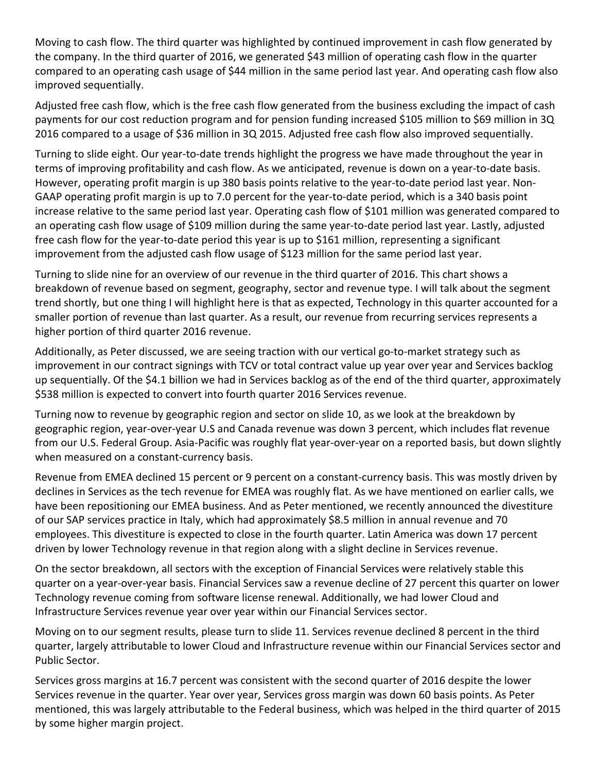Moving to cash flow. The third quarter was highlighted by continued improvement in cash flow generated by the company. In the third quarter of 2016, we generated \$43 million of operating cash flow in the quarter compared to an operating cash usage of \$44 million in the same period last year. And operating cash flow also improved sequentially.

Adjusted free cash flow, which is the free cash flow generated from the business excluding the impact of cash payments for our cost reduction program and for pension funding increased \$105 million to \$69 million in 3Q 2016 compared to a usage of \$36 million in 3Q 2015. Adjusted free cash flow also improved sequentially.

Turning to slide eight. Our year‐to‐date trends highlight the progress we have made throughout the year in terms of improving profitability and cash flow. As we anticipated, revenue is down on a year-to-date basis. However, operating profit margin is up 380 basis points relative to the year-to-date period last year. Non-GAAP operating profit margin is up to 7.0 percent for the year-to-date period, which is a 340 basis point increase relative to the same period last year. Operating cash flow of \$101 million was generated compared to an operating cash flow usage of \$109 million during the same year-to-date period last year. Lastly, adjusted free cash flow for the year-to-date period this year is up to \$161 million, representing a significant improvement from the adjusted cash flow usage of \$123 million for the same period last year.

Turning to slide nine for an overview of our revenue in the third quarter of 2016. This chart shows a breakdown of revenue based on segment, geography, sector and revenue type. I will talk about the segment trend shortly, but one thing I will highlight here is that as expected, Technology in this quarter accounted for a smaller portion of revenue than last quarter. As a result, our revenue from recurring services represents a higher portion of third quarter 2016 revenue.

Additionally, as Peter discussed, we are seeing traction with our vertical go-to-market strategy such as improvement in our contract signings with TCV or total contract value up year over year and Services backlog up sequentially. Of the \$4.1 billion we had in Services backlog as of the end of the third quarter, approximately \$538 million is expected to convert into fourth quarter 2016 Services revenue.

Turning now to revenue by geographic region and sector on slide 10, as we look at the breakdown by geographic region, year‐over‐year U.S and Canada revenue was down 3 percent, which includes flat revenue from our U.S. Federal Group. Asia-Pacific was roughly flat year-over-year on a reported basis, but down slightly when measured on a constant-currency basis.

Revenue from EMEA declined 15 percent or 9 percent on a constant-currency basis. This was mostly driven by declines in Services as the tech revenue for EMEA was roughly flat. As we have mentioned on earlier calls, we have been repositioning our EMEA business. And as Peter mentioned, we recently announced the divestiture of our SAP services practice in Italy, which had approximately \$8.5 million in annual revenue and 70 employees. This divestiture is expected to close in the fourth quarter. Latin America was down 17 percent driven by lower Technology revenue in that region along with a slight decline in Services revenue.

On the sector breakdown, all sectors with the exception of Financial Services were relatively stable this quarter on a year‐over‐year basis. Financial Services saw a revenue decline of 27 percent this quarter on lower Technology revenue coming from software license renewal. Additionally, we had lower Cloud and Infrastructure Services revenue year over year within our Financial Services sector.

Moving on to our segment results, please turn to slide 11. Services revenue declined 8 percent in the third quarter, largely attributable to lower Cloud and Infrastructure revenue within our Financial Services sector and Public Sector.

Services gross margins at 16.7 percent was consistent with the second quarter of 2016 despite the lower Services revenue in the quarter. Year over year, Services gross margin was down 60 basis points. As Peter mentioned, this was largely attributable to the Federal business, which was helped in the third quarter of 2015 by some higher margin project.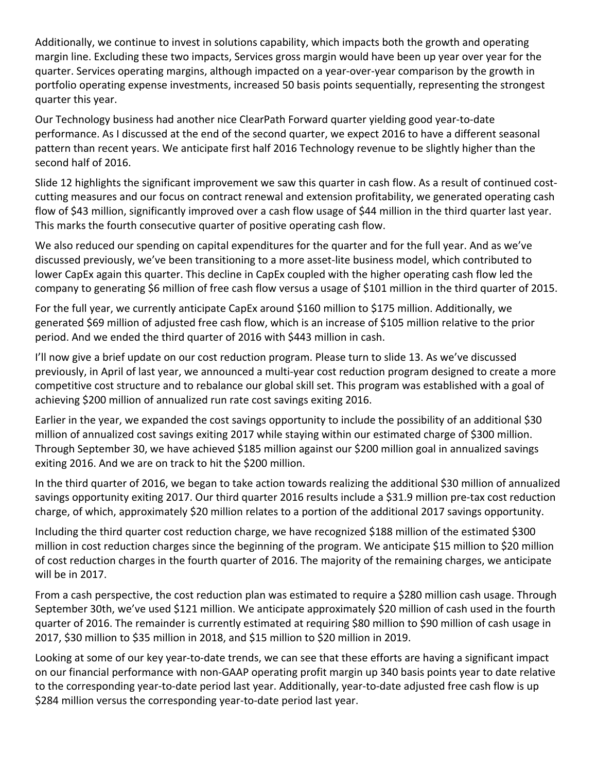Additionally, we continue to invest in solutions capability, which impacts both the growth and operating margin line. Excluding these two impacts, Services gross margin would have been up year over year for the quarter. Services operating margins, although impacted on a year‐over‐year comparison by the growth in portfolio operating expense investments, increased 50 basis points sequentially, representing the strongest quarter this year.

Our Technology business had another nice ClearPath Forward quarter yielding good year‐to‐date performance. As I discussed at the end of the second quarter, we expect 2016 to have a different seasonal pattern than recent years. We anticipate first half 2016 Technology revenue to be slightly higher than the second half of 2016.

Slide 12 highlights the significant improvement we saw this quarter in cash flow. As a result of continued costcutting measures and our focus on contract renewal and extension profitability, we generated operating cash flow of \$43 million, significantly improved over a cash flow usage of \$44 million in the third quarter last year. This marks the fourth consecutive quarter of positive operating cash flow.

We also reduced our spending on capital expenditures for the quarter and for the full year. And as we've discussed previously, we've been transitioning to a more asset‐lite business model, which contributed to lower CapEx again this quarter. This decline in CapEx coupled with the higher operating cash flow led the company to generating \$6 million of free cash flow versus a usage of \$101 million in the third quarter of 2015.

For the full year, we currently anticipate CapEx around \$160 million to \$175 million. Additionally, we generated \$69 million of adjusted free cash flow, which is an increase of \$105 million relative to the prior period. And we ended the third quarter of 2016 with \$443 million in cash.

I'll now give a brief update on our cost reduction program. Please turn to slide 13. As we've discussed previously, in April of last year, we announced a multi‐year cost reduction program designed to create a more competitive cost structure and to rebalance our global skill set. This program was established with a goal of achieving \$200 million of annualized run rate cost savings exiting 2016.

Earlier in the year, we expanded the cost savings opportunity to include the possibility of an additional \$30 million of annualized cost savings exiting 2017 while staying within our estimated charge of \$300 million. Through September 30, we have achieved \$185 million against our \$200 million goal in annualized savings exiting 2016. And we are on track to hit the \$200 million.

In the third quarter of 2016, we began to take action towards realizing the additional \$30 million of annualized savings opportunity exiting 2017. Our third quarter 2016 results include a \$31.9 million pre‐tax cost reduction charge, of which, approximately \$20 million relates to a portion of the additional 2017 savings opportunity.

Including the third quarter cost reduction charge, we have recognized \$188 million of the estimated \$300 million in cost reduction charges since the beginning of the program. We anticipate \$15 million to \$20 million of cost reduction charges in the fourth quarter of 2016. The majority of the remaining charges, we anticipate will be in 2017.

From a cash perspective, the cost reduction plan was estimated to require a \$280 million cash usage. Through September 30th, we've used \$121 million. We anticipate approximately \$20 million of cash used in the fourth quarter of 2016. The remainder is currently estimated at requiring \$80 million to \$90 million of cash usage in 2017, \$30 million to \$35 million in 2018, and \$15 million to \$20 million in 2019.

Looking at some of our key year‐to‐date trends, we can see that these efforts are having a significant impact on our financial performance with non‐GAAP operating profit margin up 340 basis points year to date relative to the corresponding year‐to‐date period last year. Additionally, year‐to‐date adjusted free cash flow is up \$284 million versus the corresponding year‐to‐date period last year.